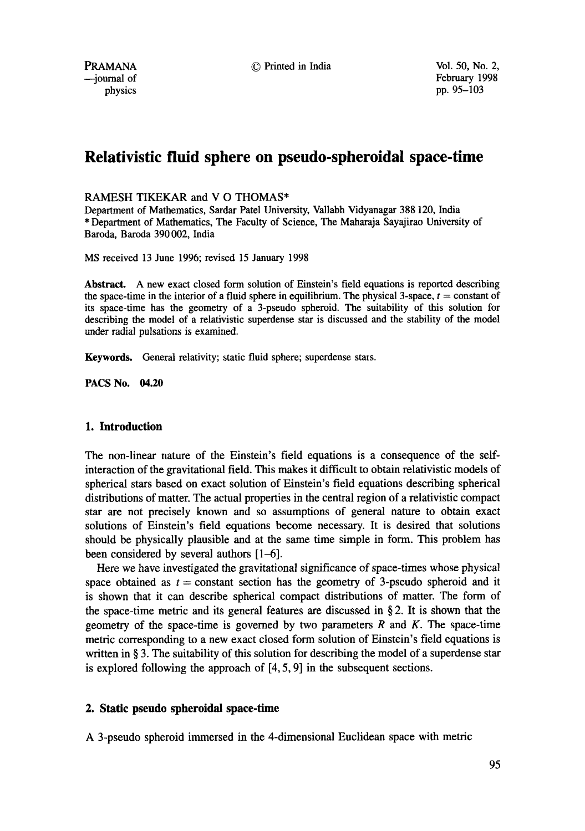PRAMANA  $\odot$  Printed in India  $\odot$  Vol. 50, No. 2,

# **Relativistic fluid sphere on pseudo-spheroidal space-time**

#### RAMESH TIKEKAR and V O THOMAS\*

Department of Mathematics, Sardar Patel University, Vallabh Vidyanagar 388 120, India \* Department of Mathematics, The Faculty of Science, The Maharaja Sayajirao University of Baroda, Baroda 390 002, India

MS received 13 June 1996; revised 15 January 1998

**Abstract.** A new exact closed form solution of Einstein's field equations is reported describing the space-time in the interior of a fluid sphere in equilibrium. The physical 3-space,  $t = constant$  of its space-time has the geometry of a 3-pseudo spheroid. The suitability of this solution for describing the model of a relativistic superdense star is discussed and the stability of the model under radial pulsations is examined.

Keywords. General relativity; static fluid sphere; superdense stars.

**PACS No. 04.20** 

# 1. Introduction

The non-linear nature of the Einstein's field equations is a consequence of the selfinteraction of the gravitational field. This makes it difficult to obtain relativistic models of spherical stars based on exact solution of Einstein's field equations describing spherical distributions of matter. The actual properties in the central region of a relativistic compact star are not precisely known and so assumptions of general nature to obtain exact solutions of Einstein's field equations become necessary. It is desired that solutions should be physically plausible and at the same time simple in form. This problem has been considered by several authors [1-6].

Here we have investigated the gravitational significance of space-times whose physical space obtained as  $t = constant$  section has the geometry of 3-pseudo spheroid and it is shown that **it** can describe spherical compact distributions of matter. The form of the space-time metric and its general features are discussed in  $\S 2$ . It is shown that the geometry of the space-time is governed by two parameters  $R$  and  $K$ . The space-time metric corresponding to a new exact closed form solution of Einstein's field equations is written in § 3. The suitability of this solution for describing the model of a superdense star is explored following the approach of [4, 5, 9] in the subsequent sections.

# **2. Static pseudo spheroidal space-time**

A 3-pseudo spheroid immersed in the 4-dimensional Euclidean space with metric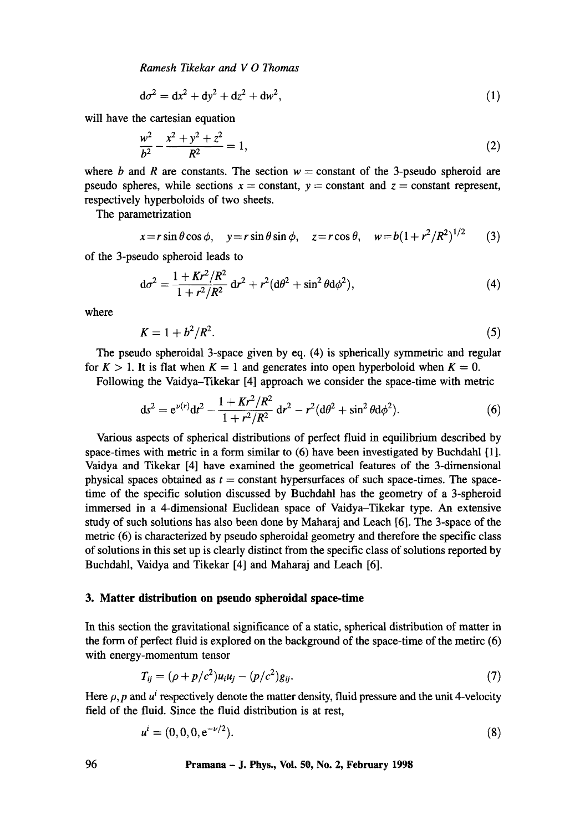*Ramesh Tikekar and V 0 Thomas* 

$$
d\sigma^2 = dx^2 + dy^2 + dz^2 + dw^2,
$$
 (1)

will have the cartesian equation

$$
\frac{w^2}{b^2} - \frac{x^2 + y^2 + z^2}{R^2} = 1,
$$
\n(2)

where b and R are constants. The section  $w = constant$  of the 3-pseudo spheroid are pseudo spheres, while sections  $x = constant$ ,  $y = constant$  and  $z = constant$  represent, respectively hyperboloids of two sheets.

The parametrization

$$
x = r \sin \theta \cos \phi, \quad y = r \sin \theta \sin \phi, \quad z = r \cos \theta, \quad w = b(1 + r^2/R^2)^{1/2}
$$
 (3)

of the 3-pseudo spheroid leads to

$$
d\sigma^2 = \frac{1 + Kr^2/R^2}{1 + r^2/R^2} dr^2 + r^2 (d\theta^2 + \sin^2 \theta d\phi^2),
$$
 (4)

where

$$
K=1+b^2/R^2.\tag{5}
$$

The pseudo spheroidal 3-space given by eq. (4) is spherically symmetric and regular for  $K > 1$ . It is flat when  $K = 1$  and generates into open hyperboloid when  $K = 0$ .

Following the Vaidya-Tikekar [4] approach we consider the space-time with metric

$$
ds^{2} = e^{\nu(r)}dt^{2} - \frac{1 + Kr^{2}/R^{2}}{1 + r^{2}/R^{2}} dr^{2} - r^{2}(d\theta^{2} + \sin^{2}\theta d\phi^{2}).
$$
 (6)

Various aspects of spherical distributions of perfect fluid in equilibrium described by space-times with metric in a form similar to  $(6)$  have been investigated by Buchdahl  $[1]$ . Vaidya and Tikekar [4] have examined the geometrical features of the 3-dimensional physical spaces obtained as  $t = constant$  hypersurfaces of such space-times. The spacetime of the specific solution discussed by Buchdahl has the geometry of a 3-spheroid immersed in a 4-dimensional Euclidean space of Vaidya-Tikekar type. An extensive study of such solutions has also been done by Maharaj and Leach [6]. The 3-space of the metric (6) is characterized by pseudo spheroidal geometry and therefore the specific class of solutions in this set up is clearly distinct from the specific class of solutions reported by Buchdahl, Vaidya and Tikekar [4] and Maharaj and Leach [6].

### **3. Matter distribution on pseudo spheroidal space-time**

In this section the gravitational significance of a static, spherical distribution of matter in the form of perfect fluid is explored on the background of the space-time of the metirc (6) with energy-momentum tensor

$$
T_{ij} = (\rho + p/c^2)u_i u_j - (p/c^2)g_{ij}.
$$
\n(7)

Here  $\rho$ , p and  $u^i$  respectively denote the matter density, fluid pressure and the unit 4-velocity field of the fluid. Since the fluid distribution is at rest,

$$
u^{i} = (0, 0, 0, e^{-\nu/2}).
$$
\n(8)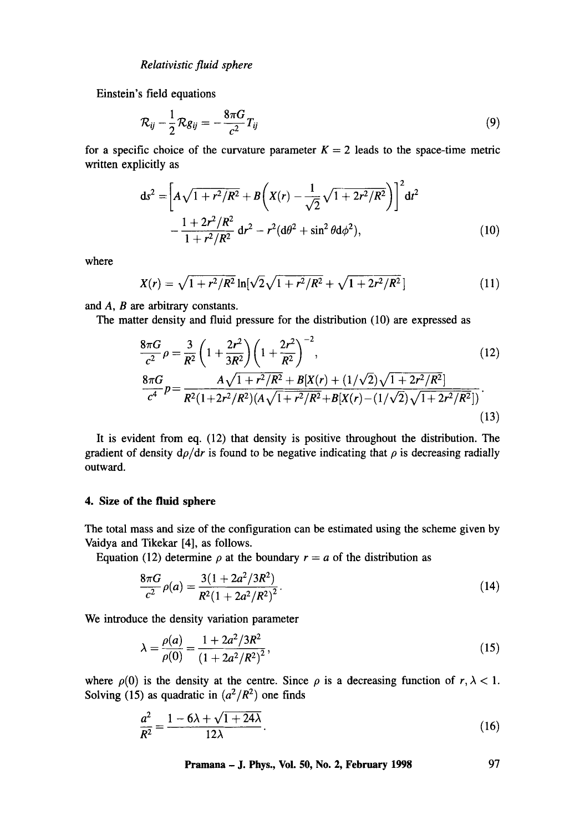Einstein's field equations

$$
\mathcal{R}_{ij} - \frac{1}{2}\mathcal{R}g_{ij} = -\frac{8\pi G}{c^2}T_{ij}
$$
\n(9)

for a specific choice of the curvature parameter  $K = 2$  leads to the space-time metric written explicitly as

$$
ds^{2} = \left[A\sqrt{1+r^{2}/R^{2}} + B\left(X(r) - \frac{1}{\sqrt{2}}\sqrt{1+2r^{2}/R^{2}}\right)\right]^{2} dt^{2}
$$

$$
-\frac{1+2r^{2}/R^{2}}{1+r^{2}/R^{2}} dr^{2} - r^{2}(d\theta^{2} + \sin^{2}\theta d\phi^{2}), \qquad (10)
$$

where

$$
X(r) = \sqrt{1 + r^2/R^2} \ln[\sqrt{2}\sqrt{1 + r^2/R^2} + \sqrt{1 + 2r^2/R^2}] \tag{11}
$$

and A, B are arbitrary constants.

The matter density and fluid pressure for the distribution (10) are expressed as

$$
\frac{8\pi G}{c^2}\rho = \frac{3}{R^2}\left(1 + \frac{2r^2}{3R^2}\right)\left(1 + \frac{2r^2}{R^2}\right)^{-2},\tag{12}
$$
\n
$$
\frac{8\pi G}{c^4}p = \frac{A\sqrt{1 + r^2/R^2} + B[X(r) + (1/\sqrt{2})\sqrt{1 + 2r^2/R^2}]}{R^2(1 + 2r^2/R^2)(A\sqrt{1 + r^2/R^2} + B[X(r) - (1/\sqrt{2})\sqrt{1 + 2r^2/R^2}])}.
$$
\n(13)

It is evident from eq. (12) that density is positive throughout the distribution. The gradient of density  $d\rho/dr$  is found to be negative indicating that  $\rho$  is decreasing radially outward.

### **4. Size of the fluid sphere**

The total mass and size of the configuration can be estimated using the scheme given by Vaidya and Tikekar [4], as follows.

Equation (12) determine  $\rho$  at the boundary  $r = a$  of the distribution as

$$
\frac{8\pi G}{c^2}\rho(a) = \frac{3(1+2a^2/3R^2)}{R^2(1+2a^2/R^2)^2}.
$$
\n(14)

We introduce the density variation parameter

**Contract** 

$$
\lambda = \frac{\rho(a)}{\rho(0)} = \frac{1 + 2a^2/3R^2}{\left(1 + 2a^2/R^2\right)^2},\tag{15}
$$

where  $\rho(0)$  is the density at the centre. Since  $\rho$  is a decreasing function of  $r, \lambda < 1$ . Solving (15) as quadratic in  $(a^2/R^2)$  one finds

$$
\frac{a^2}{R^2} = \frac{1 - 6\lambda + \sqrt{1 + 24\lambda}}{12\lambda}.
$$
 (16)

**Pramana - J. Phys., Vol. 50, No. 2, February 1998** 97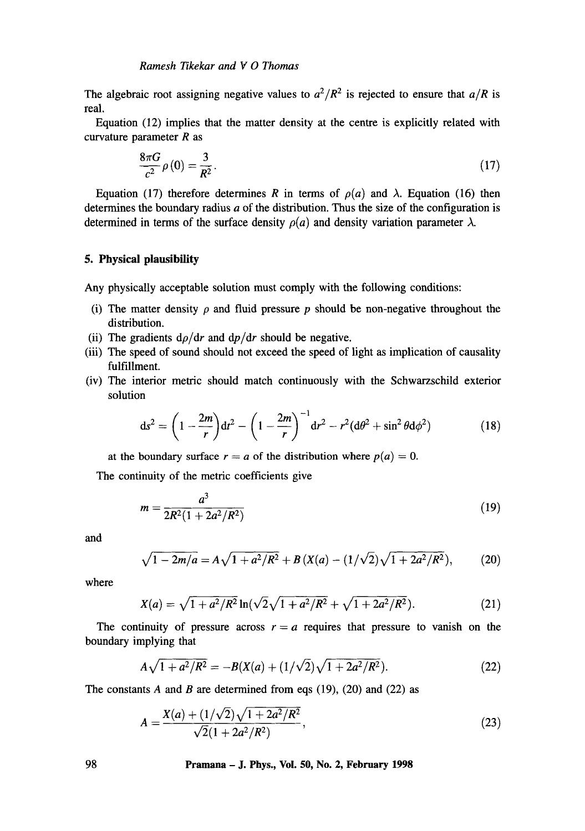The algebraic root assigning negative values to  $a^2/R^2$  is rejected to ensure that  $a/R$  is real.

Equation (12) implies that the matter density at the centre is explicitly related with curvature parameter  $R$  as

$$
\frac{8\pi G}{c^2}\rho(0) = \frac{3}{R^2}.\tag{17}
$$

Equation (17) therefore determines R in terms of  $\rho(a)$  and  $\lambda$ . Equation (16) then determines the boundary radius  $a$  of the distribution. Thus the size of the configuration is determined in terms of the surface density  $\rho(a)$  and density variation parameter  $\lambda$ .

#### **5. Physical plausibility**

Any physically acceptable solution must comply with the following conditions:

- (i) The matter density  $\rho$  and fluid pressure p should be non-negative throughout the distribution.
- (ii) The gradients  $d\rho/dr$  and  $dp/dr$  should be negative.
- (iii) The speed of sound should not exceed the speed of light as implication of causality fulfillment.
- (iv) The interior metric should match continuously with the Schwarzschild exterior solution

$$
ds^{2} = \left(1 - \frac{2m}{r}\right)dt^{2} - \left(1 - \frac{2m}{r}\right)^{-1}dr^{2} - r^{2}(d\theta^{2} + \sin^{2}\theta d\phi^{2})
$$
(18)

at the boundary surface  $r = a$  of the distribution where  $p(a) = 0$ .

The continuity of the metric coefficients give

$$
m = \frac{a^3}{2R^2(1 + 2a^2/R^2)}
$$
 (19)

and

$$
\sqrt{1 - 2m/a} = A\sqrt{1 + a^2/R^2} + B\left(X(a) - (1/\sqrt{2})\sqrt{1 + 2a^2/R^2}\right),\tag{20}
$$

where

$$
X(a) = \sqrt{1 + a^2/R^2} \ln(\sqrt{2}\sqrt{1 + a^2/R^2} + \sqrt{1 + 2a^2/R^2}).
$$
 (21)

The continuity of pressure across  $r = a$  requires that pressure to vanish on the boundary implying that

$$
A\sqrt{1+a^2/R^2} = -B(X(a) + (1/\sqrt{2})\sqrt{1+2a^2/R^2}).
$$
\n(22)

The constants A and B are determined from eqs  $(19)$ ,  $(20)$  and  $(22)$  as

$$
A = \frac{X(a) + (1/\sqrt{2})\sqrt{1 + 2a^2/R^2}}{\sqrt{2}(1 + 2a^2/R^2)},
$$
\n(23)

**98 Pramana - J. Phys., Vol. 50, No. 2, February 1998**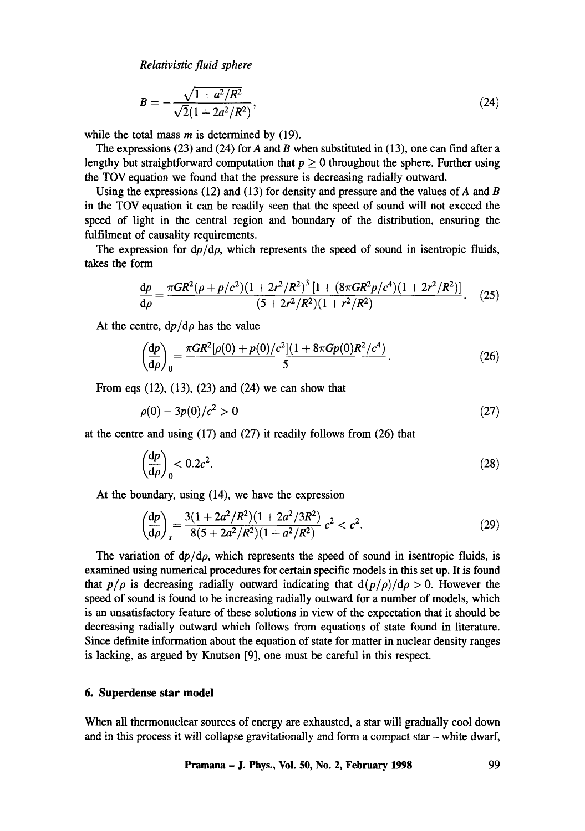*Relativistic fluid sphere* 

$$
B = -\frac{\sqrt{1 + a^2/R^2}}{\sqrt{2}(1 + 2a^2/R^2)},
$$
\n(24)

while the total mass  $m$  is determined by (19).

The expressions (23) and (24) for A and B when substituted in (13), one can find after a lengthy but straightforward computation that  $p \geq 0$  throughout the sphere. Further using the TOV equation we found that the pressure is decreasing radially outward.

Using the expressions (12) and (13) for density and pressure and the values of  $A$  and  $B$ in the TOV equation it can be readily seen that the speed of sound will not exceed the speed of light in the central region and boundary of the distribution, ensuring the fulfilment of causality requirements.

The expression for  $dp/d\rho$ , which represents the speed of sound in isentropic fluids, takes the form

$$
\frac{dp}{d\rho} = \frac{\pi G R^2 (\rho + p/c^2)(1 + 2r^2/R^2)^3 [1 + (8\pi G R^2 p/c^4)(1 + 2r^2/R^2)]}{(5 + 2r^2/R^2)(1 + r^2/R^2)}.
$$
 (25)

At the centre,  $dp/d\rho$  has the value

$$
\left(\frac{\mathrm{d}p}{\mathrm{d}\rho}\right)_0 = \frac{\pi G R^2 [\rho(0) + p(0)/c^2](1 + 8\pi G p(0)R^2/c^4)}{5}.
$$
\n(26)

From eqs  $(12)$ ,  $(13)$ ,  $(23)$  and  $(24)$  we can show that

$$
\rho(0) - 3p(0)/c^2 > 0 \tag{27}
$$

at the centre and using (17) and (27) it readily follows from (26) that

$$
\left(\frac{\mathrm{d}p}{\mathrm{d}\rho}\right)_0 < 0.2c^2. \tag{28}
$$

At the boundary, using (14), we have the expression

$$
\left(\frac{\mathrm{d}p}{\mathrm{d}\rho}\right)_s = \frac{3(1+2a^2/R^2)(1+2a^2/3R^2)}{8(5+2a^2/R^2)(1+a^2/R^2)}\,c^2 < c^2.\tag{29}
$$

The variation of  $dp/d\rho$ , which represents the speed of sound in isentropic fluids, is examined using numerical procedures for certain specific models in this set up. It is found that  $p/\rho$  is decreasing radially outward indicating that  $d(p/\rho)/d\rho > 0$ . However the speed of sound is found to be increasing radially outward for a number of models, which is an unsatisfactory feature of these solutions in view of the expectation that it should be decreasing radially outward which follows from equations of state found in literature. Since definite information about the equation of state for matter in nuclear density ranges is lacking, as argued by Knutsen [9], one must be careful in this respect.

## **6. Superdense star model**

**When all thermonuclear sources of energy are exhausted, a star will gradually cool down and in this process it will collapse gravitationally and form a compact star - white dwarf,**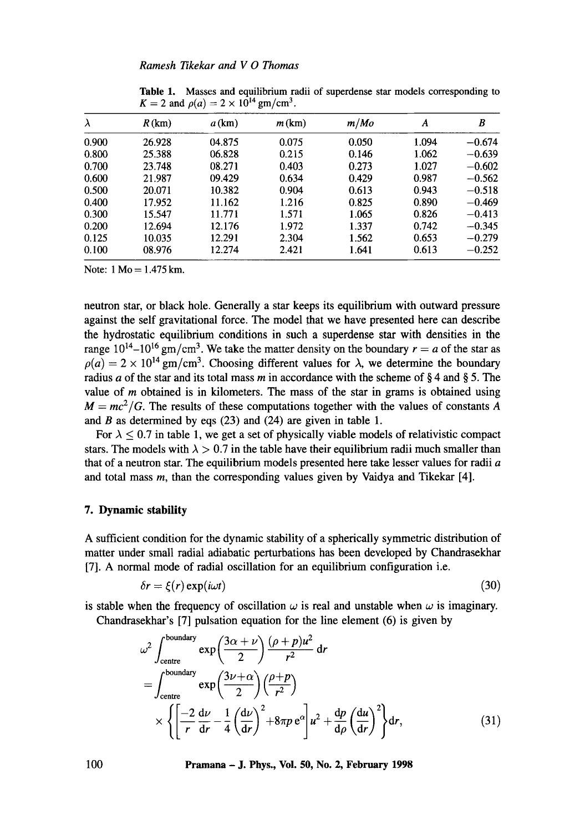| $\lambda$ | R(km)  | $a$ (km) | m(km) | m/Mo  | A     | B        |
|-----------|--------|----------|-------|-------|-------|----------|
| 0.900     | 26.928 | 04.875   | 0.075 | 0.050 | 1.094 | $-0.674$ |
| 0.800     | 25.388 | 06.828   | 0.215 | 0.146 | 1.062 | $-0.639$ |
| 0.700     | 23.748 | 08.271   | 0.403 | 0.273 | 1.027 | $-0.602$ |
| 0.600     | 21.987 | 09.429   | 0.634 | 0.429 | 0.987 | $-0.562$ |
| 0.500     | 20.071 | 10.382   | 0.904 | 0.613 | 0.943 | $-0.518$ |
| 0.400     | 17.952 | 11.162   | 1.216 | 0.825 | 0.890 | $-0.469$ |
| 0.300     | 15.547 | 11.771   | 1.571 | 1.065 | 0.826 | $-0.413$ |
| 0.200     | 12.694 | 12.176   | 1.972 | 1.337 | 0.742 | $-0.345$ |
| 0.125     | 10.035 | 12.291   | 2.304 | 1.562 | 0.653 | $-0.279$ |
| 0.100     | 08.976 | 12.274   | 2.421 | 1.641 | 0.613 | $-0.252$ |
|           |        |          |       |       |       |          |

**Table** 1. Masses and equilibrium radii of superdense star models corresponding to  $K = 2$  and  $\rho(a) = 2 \times 10^{14}$  gm/cm<sup>3</sup>.

Note:  $1 \text{ Mo} = 1.475 \text{ km}$ .

neutron star, or black hole. Generally a star keeps its equilibrium with outward pressure against the self gravitational force. The model that we have presented here can describe the hydrostatic equilibrium conditions in such a superdense star with densities in the range  $10^{14} - 10^{16}$  gm/cm<sup>3</sup>. We take the matter density on the boundary  $r = a$  of the star as  $p(a) = 2 \times 10^{14}$  gm/cm<sup>3</sup>. Choosing different values for  $\lambda$ , we determine the boundary radius a of the star and its total mass m in accordance with the scheme of § 4 and § 5. The value of  *obtained is in kilometers. The mass of the star in grams is obtained using*  $M = mc^2/G$ . The results of these computations together with the values of constants A and  $B$  as determined by eqs (23) and (24) are given in table 1.

For  $\lambda \leq 0.7$  in table 1, we get a set of physically viable models of relativistic compact stars. The models with  $\lambda > 0.7$  in the table have their equilibrium radii much smaller than that of a neutron star. The equilibrium models presented here take lesser values for radii  $a$ and total mass m, than the corresponding values given by Vaidya and Tikekar [4].

## **7. Dynamic stability**

A sufficient condition for the dynamic stability of a spherically symmetric distribution of matter under small radial adiabatic perturbations has been developed by Chandrasekhar [7]. A normal mode of radial oscillation for an equilibrium configuration i.e,

$$
\delta r = \xi(r) \exp(i\omega t) \tag{30}
$$

is stable when the frequency of oscillation  $\omega$  is real and unstable when  $\omega$  is imaginary.

Chandrasekhar's [7] pulsation equation for the line element (6) is given by

$$
\omega^{2} \int_{\text{centre}}^{\text{boundary}} \exp\left(\frac{3\alpha + \nu}{2}\right) \frac{(\rho + p)u^{2}}{r^{2}} dr
$$
  
= 
$$
\int_{\text{centre}}^{\text{boundary}} \exp\left(\frac{3\nu + \alpha}{2}\right) \frac{(\rho + p)}{r^{2}} dr
$$
  

$$
\times \left\{ \left[ \frac{-2}{r} \frac{d\nu}{dr} - \frac{1}{4} \left( \frac{d\nu}{dr} \right)^{2} + 8\pi p e^{a} \right] u^{2} + \frac{dp}{d\rho} \left( \frac{du}{dr} \right)^{2} \right\} dr,
$$
 (31)

**100 Pramana - J. Phys., Vol. 50, No. 2, February 1998**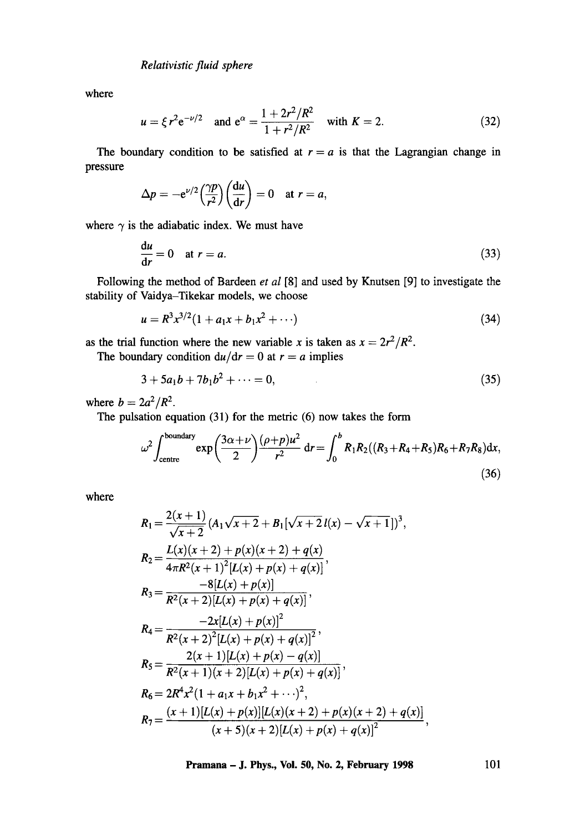where

$$
u = \xi r^2 e^{-\nu/2}
$$
 and  $e^{\alpha} = \frac{1 + 2r^2/R^2}{1 + r^2/R^2}$  with  $K = 2$ . (32)

The boundary condition to be satisfied at  $r = a$  is that the Lagrangian change in pressure

$$
\Delta p = -e^{\nu/2} \left(\frac{\gamma p}{r^2}\right) \left(\frac{du}{dr}\right) = 0 \quad \text{at } r = a,
$$

where  $\gamma$  is the adiabatic index. We must have

$$
\frac{du}{dr} = 0 \quad \text{at } r = a. \tag{33}
$$

Following the method of Bardeen *et al* [8] and used by Knutsen [9] to investigate the stability of Vaidya-Tikekar models, we choose

$$
u = R^3 x^{3/2} (1 + a_1 x + b_1 x^2 + \cdots)
$$
 (34)

as the trial function where the new variable x is taken as  $x = 2r^2/R^2$ .

The boundary condition  $du/dr = 0$  at  $r = a$  implies

$$
3 + 5a_1b + 7b_1b^2 + \dots = 0,\tag{35}
$$

where  $b = 2a^2/R^2$ .

 $\overline{a}$ 

The pulsation equation (31) for the metric (6) now takes the form

$$
\omega^2 \int_{\text{centre}}^{\text{boundary}} \exp\left(\frac{3\alpha + \nu}{2}\right) \frac{(\rho + p)u^2}{r^2} dr = \int_0^b R_1 R_2((R_3 + R_4 + R_5)R_6 + R_7 R_8) dx,
$$
\n(36)

where

$$
R_1 = \frac{2(x+1)}{\sqrt{x+2}} (A_1 \sqrt{x+2} + B_1[\sqrt{x+2} l(x) - \sqrt{x+1}])^3,
$$
  
\n
$$
R_2 = \frac{L(x)(x+2) + p(x)(x+2) + q(x)}{4\pi R^2 (x+1)^2 [L(x) + p(x) + q(x)]},
$$
  
\n
$$
R_3 = \frac{-8[L(x) + p(x)]}{R^2 (x+2)[L(x) + p(x) + q(x)]},
$$
  
\n
$$
R_4 = \frac{-2x[L(x) + p(x)]^2}{R^2 (x+2)^2 [L(x) + p(x) + q(x)]^2},
$$
  
\n
$$
R_5 = \frac{2(x+1)[L(x) + p(x) - q(x)]}{R^2 (x+1)(x+2)[L(x) + p(x) + q(x)]},
$$
  
\n
$$
R_6 = 2R^4 x^2 (1 + a_1 x + b_1 x^2 + \cdots)^2,
$$
  
\n
$$
R_7 = \frac{(x+1)[L(x) + p(x)][L(x)(x+2) + p(x)(x+2) + q(x)]}{(x+5)(x+2)[L(x) + p(x) + q(x)]^2},
$$

**Pramana - J. Phys., Vol. 50, No. 2, February 1998** 101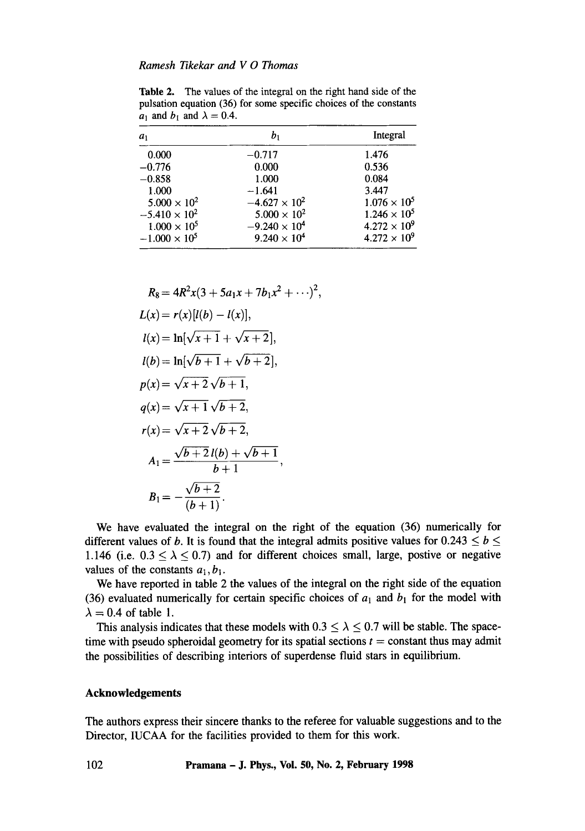Table 2. The values of the integral on the right hand side of the pulsation equation (36) for some specific choices of the constants  $a_1$  and  $b_1$  and  $\lambda = 0.4$ .

| $a_1$                  | b,                     | Integral              |
|------------------------|------------------------|-----------------------|
| 0.000                  | $-0.717$               | 1.476                 |
| $-0.776$               | 0.000                  | 0.536                 |
| $-0.858$               | 1.000                  | 0.084                 |
| 1.000                  | $-1.641$               | 3.447                 |
| $5.000 \times 10^{2}$  | $-4.627 \times 10^{2}$ | $1.076 \times 10^{5}$ |
| $-5.410 \times 10^{2}$ | $5.000 \times 10^{2}$  | $1.246 \times 10^{5}$ |
| $1.000 \times 10^{5}$  | $-9.240 \times 10^{4}$ | $4.272 \times 10^{9}$ |
| $-1.000 \times 10^5$   | $9.240 \times 10^{4}$  | $4.272 \times 10^{9}$ |

$$
R_8 = 4R^2x(3 + 5a_1x + 7b_1x^2 + \cdots)^2,
$$
  
\n
$$
L(x) = r(x)[l(b) - l(x)],
$$
  
\n
$$
l(x) = \ln[\sqrt{x+1} + \sqrt{x+2}],
$$
  
\n
$$
l(b) = \ln[\sqrt{b+1} + \sqrt{b+2}],
$$
  
\n
$$
p(x) = \sqrt{x+2}\sqrt{b+1},
$$
  
\n
$$
q(x) = \sqrt{x+1}\sqrt{b+2},
$$
  
\n
$$
r(x) = \sqrt{x+2}\sqrt{b+2},
$$
  
\n
$$
A_1 = \frac{\sqrt{b+2}l(b) + \sqrt{b+1}}{b+1},
$$
  
\n
$$
B_1 = -\frac{\sqrt{b+2}}{(b+1)}.
$$

We have evaluated the integral on the fight of the equation (36) numerically for different values of b. It is found that the integral admits positive values for  $0.243 \le b \le$ 1.146 (i.e.  $0.3 \le \lambda \le 0.7$ ) and for different choices small, large, postive or negative values of the constants  $a_1, b_1$ .

We have reported in table 2 the values of the integral on the right side of the equation (36) evaluated numerically for certain specific choices of  $a_1$  and  $b_1$  for the model with  $\lambda = 0.4$  of table 1.

This analysis indicates that these models with  $0.3 \le \lambda \le 0.7$  will be stable. The spacetime with pseudo spheroidal geometry for its spatial sections  $t = constant$  thus may admit the possibilities of describing interiors of superdense fluid stars in equilibrium.

#### **Acknowledgements**

The authors express their sincere thanks to the referee for valuable suggestions and to the Director, IUCAA for the facilities provided to them for this work.

102 **Pramana - J. Phys., Vol. 50, No. 2, February 1998**